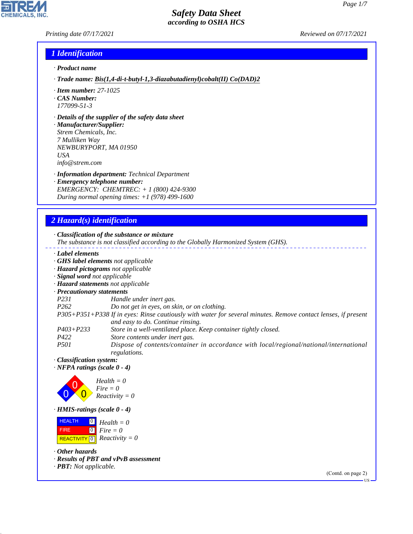*Printing date 07/17/2021 Reviewed on 07/17/2021*

**CHEMICALS.** 

### *1 Identification*

- *· Product name*
- *· Trade name: Bis(1,4-di-t-butyl-1,3-diazabutadienyl)cobalt(II) Co(DAD)2*
- *· Item number: 27-1025*
- *· CAS Number: 177099-51-3*
- *· Details of the supplier of the safety data sheet*

*· Manufacturer/Supplier: Strem Chemicals, Inc. 7 Mulliken Way NEWBURYPORT, MA 01950 USA info@strem.com*

- *· Information department: Technical Department*
- *· Emergency telephone number: EMERGENCY: CHEMTREC: + 1 (800) 424-9300 During normal opening times: +1 (978) 499-1600*

### *2 Hazard(s) identification*

*· Classification of the substance or mixture*

- *The substance is not classified according to the Globally Harmonized System (GHS).*
- *· Label elements*
- *· GHS label elements not applicable*
- *· Hazard pictograms not applicable*
- *· Signal word not applicable*
- *· Hazard statements not applicable*
- *· Precautionary statements*
- *P231 Handle under inert gas.*
- *P262 Do not get in eyes, on skin, or on clothing.*
- *P305+P351+P338 If in eyes: Rinse cautiously with water for several minutes. Remove contact lenses, if present and easy to do. Continue rinsing.*
- *P403+P233 Store in a well-ventilated place. Keep container tightly closed.*
- *P422 Store contents under inert gas.*
- *P501 Dispose of contents/container in accordance with local/regional/national/international regulations.*
- *· Classification system:*
- *· NFPA ratings (scale 0 4)*



*· HMIS-ratings (scale 0 - 4)*



*· Other hazards*

44.1.1

- *· Results of PBT and vPvB assessment*
- *· PBT: Not applicable.*

(Contd. on page 2)

US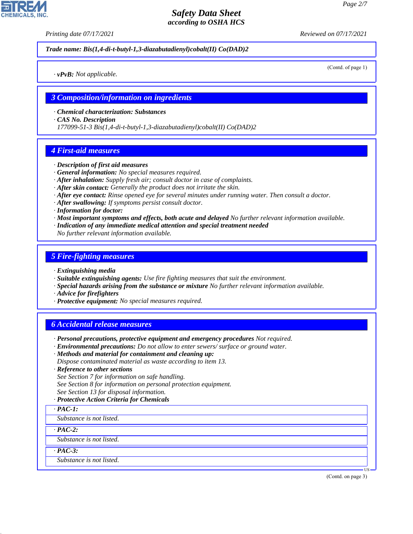*Printing date 07/17/2021 Reviewed on 07/17/2021*

*Trade name: Bis(1,4-di-t-butyl-1,3-diazabutadienyl)cobalt(II) Co(DAD)2*

*· vPvB: Not applicable.*

(Contd. of page 1)

*3 Composition/information on ingredients*

- *· Chemical characterization: Substances*
- *· CAS No. Description*

*177099-51-3 Bis(1,4-di-t-butyl-1,3-diazabutadienyl)cobalt(II) Co(DAD)2*

### *4 First-aid measures*

- *· Description of first aid measures*
- *· General information: No special measures required.*
- *· After inhalation: Supply fresh air; consult doctor in case of complaints.*
- *· After skin contact: Generally the product does not irritate the skin.*
- *· After eye contact: Rinse opened eye for several minutes under running water. Then consult a doctor.*
- *· After swallowing: If symptoms persist consult doctor.*
- *· Information for doctor:*
- *· Most important symptoms and effects, both acute and delayed No further relevant information available.*
- *· Indication of any immediate medical attention and special treatment needed*
- *No further relevant information available.*

### *5 Fire-fighting measures*

- *· Extinguishing media*
- *· Suitable extinguishing agents: Use fire fighting measures that suit the environment.*
- *· Special hazards arising from the substance or mixture No further relevant information available.*
- *· Advice for firefighters*
- *· Protective equipment: No special measures required.*

### *6 Accidental release measures*

- *· Personal precautions, protective equipment and emergency procedures Not required.*
- *· Environmental precautions: Do not allow to enter sewers/ surface or ground water.*
- *· Methods and material for containment and cleaning up:*
- *Dispose contaminated material as waste according to item 13.*
- *· Reference to other sections*
- *See Section 7 for information on safe handling.*
- *See Section 8 for information on personal protection equipment.*
- *See Section 13 for disposal information.*
- *· Protective Action Criteria for Chemicals*
- *· PAC-1:*
- *Substance is not listed.*

*· PAC-2:*

*Substance is not listed.*

*· PAC-3:*

44.1.1

*Substance is not listed.*

(Contd. on page 3)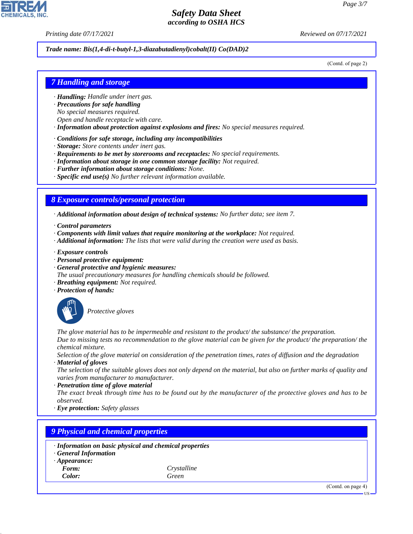*Printing date 07/17/2021 Reviewed on 07/17/2021*

#### *Trade name: Bis(1,4-di-t-butyl-1,3-diazabutadienyl)cobalt(II) Co(DAD)2*

(Contd. of page 2)

#### *7 Handling and storage*

- *· Handling: Handle under inert gas.*
- *· Precautions for safe handling*
- *No special measures required.*
- *Open and handle receptacle with care.*
- *· Information about protection against explosions and fires: No special measures required.*
- *· Conditions for safe storage, including any incompatibilities*
- *· Storage: Store contents under inert gas.*
- *· Requirements to be met by storerooms and receptacles: No special requirements.*
- *· Information about storage in one common storage facility: Not required.*
- *· Further information about storage conditions: None.*
- *· Specific end use(s) No further relevant information available.*

#### *8 Exposure controls/personal protection*

*· Additional information about design of technical systems: No further data; see item 7.*

- *· Control parameters*
- *· Components with limit values that require monitoring at the workplace: Not required.*
- *· Additional information: The lists that were valid during the creation were used as basis.*
- *· Exposure controls*
- *· Personal protective equipment:*
- *· General protective and hygienic measures:*
- *The usual precautionary measures for handling chemicals should be followed.*
- *· Breathing equipment: Not required.*
- *· Protection of hands:*



44.1.1

\_S*Protective gloves*

*The glove material has to be impermeable and resistant to the product/ the substance/ the preparation. Due to missing tests no recommendation to the glove material can be given for the product/ the preparation/ the chemical mixture.*

*Selection of the glove material on consideration of the penetration times, rates of diffusion and the degradation · Material of gloves*

*The selection of the suitable gloves does not only depend on the material, but also on further marks of quality and varies from manufacturer to manufacturer.*

*· Penetration time of glove material*

*The exact break through time has to be found out by the manufacturer of the protective gloves and has to be observed.*

*· Eye protection: Safety glasses*

| 9 Physical and chemical properties |                                                         |  |  |  |
|------------------------------------|---------------------------------------------------------|--|--|--|
| · General Information              | · Information on basic physical and chemical properties |  |  |  |
| $\cdot$ Appearance:                |                                                         |  |  |  |
| Form:                              | Crystalline                                             |  |  |  |
| Color:                             | Green                                                   |  |  |  |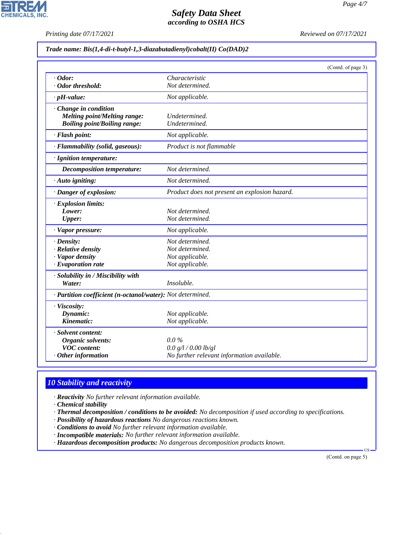*Printing date 07/17/2021 Reviewed on 07/17/2021*

| Trade name: Bis(1,4-di-t-butyl-1,3-diazabutadienyl)cobalt(II) Co(DAD)2 |  |  |  |  |  |  |
|------------------------------------------------------------------------|--|--|--|--|--|--|
|------------------------------------------------------------------------|--|--|--|--|--|--|

|                                                            |                                               | (Contd. of page 3) |
|------------------------------------------------------------|-----------------------------------------------|--------------------|
| $\cdot$ Odor:                                              | Characteristic                                |                    |
| · Odor threshold:                                          | Not determined.                               |                    |
| $\cdot$ pH-value:                                          | Not applicable.                               |                    |
| Change in condition                                        |                                               |                    |
| <b>Melting point/Melting range:</b>                        | Undetermined.                                 |                    |
| <b>Boiling point/Boiling range:</b>                        | Undetermined.                                 |                    |
| · Flash point:                                             | Not applicable.                               |                    |
| · Flammability (solid, gaseous):                           | Product is not flammable                      |                    |
| · Ignition temperature:                                    |                                               |                    |
| <b>Decomposition temperature:</b>                          | Not determined.                               |                    |
| · Auto igniting:                                           | Not determined.                               |                    |
| · Danger of explosion:                                     | Product does not present an explosion hazard. |                    |
| · Explosion limits:                                        |                                               |                    |
| Lower:                                                     | Not determined.                               |                    |
| Upper:                                                     | Not determined.                               |                    |
| · Vapor pressure:                                          | Not applicable.                               |                    |
| $\cdot$ Density:                                           | Not determined.                               |                    |
| · Relative density                                         | Not determined.                               |                    |
| · Vapor density                                            | Not applicable.                               |                    |
| $\cdot$ Evaporation rate                                   | Not applicable.                               |                    |
| · Solubility in / Miscibility with                         |                                               |                    |
| Water:                                                     | Insoluble.                                    |                    |
| · Partition coefficient (n-octanol/water): Not determined. |                                               |                    |
| · Viscosity:                                               |                                               |                    |
| Dynamic:                                                   | Not applicable.                               |                    |
| Kinematic:                                                 | Not applicable.                               |                    |
| · Solvent content:                                         |                                               |                    |
| Organic solvents:                                          | $0.0\%$                                       |                    |
| <b>VOC</b> content:                                        | 0.0 g/l / 0.00 lb/gl                          |                    |
| $·$ Other information                                      | No further relevant information available.    |                    |

# *10 Stability and reactivity*

*· Reactivity No further relevant information available.*

*· Chemical stability*

44.1.1

*· Thermal decomposition / conditions to be avoided: No decomposition if used according to specifications.*

- *· Possibility of hazardous reactions No dangerous reactions known.*
- *· Conditions to avoid No further relevant information available.*
- *· Incompatible materials: No further relevant information available.*

*· Hazardous decomposition products: No dangerous decomposition products known.*

(Contd. on page 5)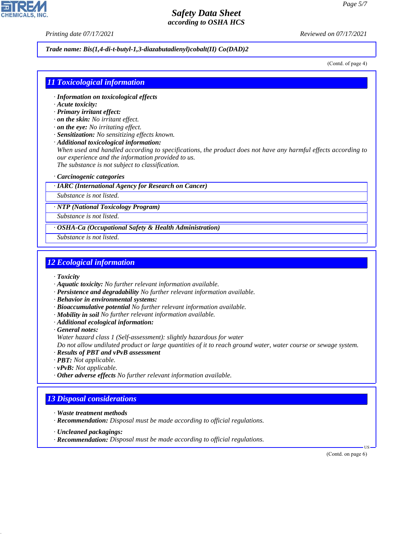*Printing date 07/17/2021 Reviewed on 07/17/2021*

#### *Trade name: Bis(1,4-di-t-butyl-1,3-diazabutadienyl)cobalt(II) Co(DAD)2*

(Contd. of page 4)

#### *11 Toxicological information*

- *· Information on toxicological effects*
- *· Acute toxicity:*
- *· Primary irritant effect:*
- *· on the skin: No irritant effect.*
- *· on the eye: No irritating effect.*
- *· Sensitization: No sensitizing effects known.*
- *· Additional toxicological information:*

*When used and handled according to specifications, the product does not have any harmful effects according to our experience and the information provided to us. The substance is not subject to classification.*

#### *· Carcinogenic categories*

*· IARC (International Agency for Research on Cancer)*

*Substance is not listed.*

*· NTP (National Toxicology Program)*

*Substance is not listed.*

*· OSHA-Ca (Occupational Safety & Health Administration)*

*Substance is not listed.*

### *12 Ecological information*

*· Toxicity*

- *· Aquatic toxicity: No further relevant information available.*
- *· Persistence and degradability No further relevant information available.*
- *· Behavior in environmental systems:*
- *· Bioaccumulative potential No further relevant information available.*
- *· Mobility in soil No further relevant information available.*
- *· Additional ecological information:*
- *· General notes:*
- *Water hazard class 1 (Self-assessment): slightly hazardous for water*

*Do not allow undiluted product or large quantities of it to reach ground water, water course or sewage system.*

- *· Results of PBT and vPvB assessment*
- *· PBT: Not applicable.*
- *· vPvB: Not applicable.*
- *· Other adverse effects No further relevant information available.*

### *13 Disposal considerations*

- *· Waste treatment methods*
- *· Recommendation: Disposal must be made according to official regulations.*
- *· Uncleaned packagings:*

44.1.1

*· Recommendation: Disposal must be made according to official regulations.*

(Contd. on page 6)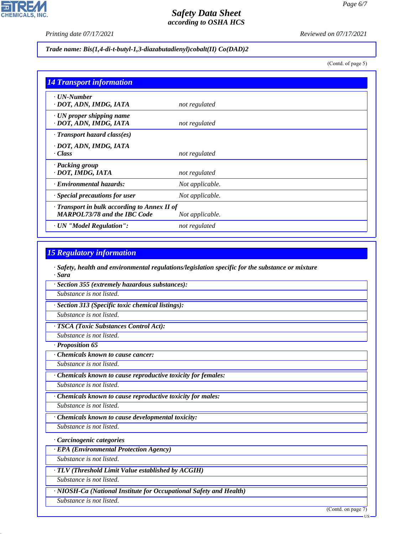*Printing date 07/17/2021 Reviewed on 07/17/2021*

*Trade name: Bis(1,4-di-t-butyl-1,3-diazabutadienyl)cobalt(II) Co(DAD)2*

(Contd. of page 5)

| <b>14 Transport information</b>                                                     |                 |
|-------------------------------------------------------------------------------------|-----------------|
| $\cdot$ UN-Number<br>· DOT, ADN, IMDG, IATA                                         | not regulated   |
| $\cdot$ UN proper shipping name<br>· DOT, ADN, IMDG, IATA                           | not regulated   |
| $\cdot$ Transport hazard class(es)                                                  |                 |
| · DOT, ADN, IMDG, IATA<br>$\cdot$ Class                                             | not regulated   |
| · Packing group<br>· DOT, IMDG, IATA                                                | not regulated   |
| · Environmental hazards:                                                            | Not applicable. |
| · Special precautions for user                                                      | Not applicable. |
| · Transport in bulk according to Annex II of<br><b>MARPOL73/78 and the IBC Code</b> | Not applicable. |
| · UN "Model Regulation":                                                            | not regulated   |

### *15 Regulatory information*

*· Safety, health and environmental regulations/legislation specific for the substance or mixture · Sara*

*· Section 355 (extremely hazardous substances):*

*Substance is not listed.*

*· Section 313 (Specific toxic chemical listings):*

*Substance is not listed.*

*· TSCA (Toxic Substances Control Act):*

*Substance is not listed.*

*· Proposition 65*

*· Chemicals known to cause cancer:*

*Substance is not listed.*

*· Chemicals known to cause reproductive toxicity for females:*

*Substance is not listed.*

*· Chemicals known to cause reproductive toxicity for males:*

*Substance is not listed.*

*· Chemicals known to cause developmental toxicity:*

*Substance is not listed.*

*· Carcinogenic categories*

*· EPA (Environmental Protection Agency)*

*Substance is not listed.*

*· TLV (Threshold Limit Value established by ACGIH)*

*Substance is not listed.*

*· NIOSH-Ca (National Institute for Occupational Safety and Health)*

*Substance is not listed.*

44.1.1